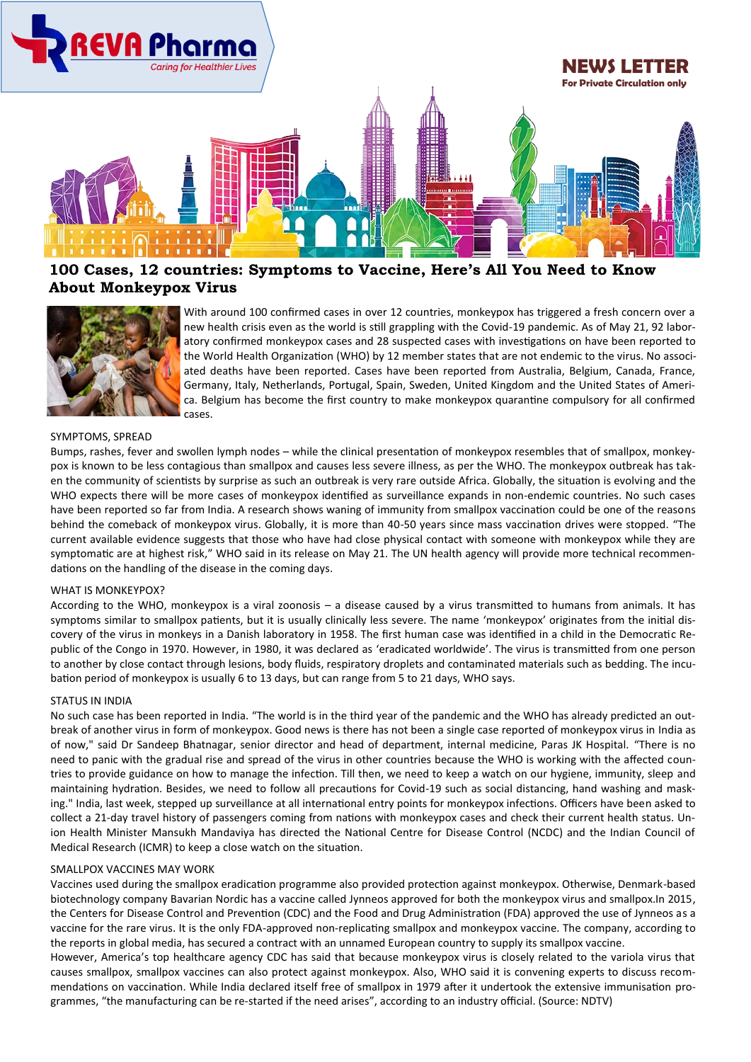

## **100 Cases, 12 countries: Symptoms to Vaccine, Here's All You Need to Know About Monkeypox Virus**



With around 100 confirmed cases in over 12 countries, monkeypox has triggered a fresh concern over a new health crisis even as the world is still grappling with the Covid-19 pandemic. As of May 21, 92 laboratory confirmed monkeypox cases and 28 suspected cases with investigations on have been reported to the [World](https://www.news18.com/world/) Health Organization (WHO) by 12 member states that are not endemic to the virus. No associated deaths have been reported. Cases have been reported from Australia, Belgium, Canada, France, Germany, Italy, Netherlands, Portugal, Spain, Sweden, United Kingdom and the United States of America. Belgium has become the first country to make monkeypox quarantine compulsory for all confirmed cases.

### SYMPTOMS, SPREAD

Bumps, rashes, fever and swollen lymph nodes – while the clinical presentation of monkeypox resembles that of smallpox, monkeypox is known to be less contagious than smallpox and causes less severe illness, as per the WHO. The monkeypox outbreak has taken the community of scientists by surprise as such an outbreak is very rare outside Africa. Globally, the situation is evolving and the WHO expects there will be more [cases of monkeypox](https://www.news18.com/photogallery/world/as-monkeypox-detected-in-north-america-europe-heres-all-you-need-to-know-about-the-rare-disease-in-gfx-5211007.html) identified as surveillance expands in non-endemic countries. No such cases have been reported so far from India. A research shows waning of immunity from smallpox vaccination could be one of the reasons behind the comeback of monkeypox virus. Globally, it is more than 40-50 years since mass vaccination drives were stopped. "The current available evidence suggests that those who have had close physical contact with someone with monkeypox while they are symptomatic are at highest risk," WHO said in its release on May 21. The UN health agency will provide more technical recommendations on the handling of the disease in the coming days.

#### WHAT IS MONKEYPOX?

According to the WHO, monkeypox is a viral zoonosis – a disease caused by a virus transmitted to humans from animals. It has symptoms similar to smallpox patients, but it is usually clinically less severe. The name 'monkeypox' originates from the initial discovery of the virus in monkeys in a Danish laboratory in 1958. The first human case was identified in a child in the Democratic Republic of the Congo in 1970. However, in 1980, it was declared as 'eradicated worldwide'. The virus is transmitted from one person to another by close contact through lesions, body fluids, respiratory droplets and contaminated materials such as bedding. The incubation period of monkeypox is usually 6 to 13 days, but can range from 5 to 21 days, WHO says.

#### STATUS IN INDIA

No such case has been reported in India. "The world is in the third year of the pandemic and the WHO has already predicted an outbreak of another virus in form of monkeypox. Good news is there has not been a single case reported of monkeypox virus in India as of now," said Dr Sandeep Bhatnagar, senior director and head of department, internal medicine, Paras JK Hospital. "There is no need to panic with the gradual rise and spread of the virus in other countries because the WHO is working with the affected countries to provide guidance on how to manage the infection. Till then, we need to keep a watch on our hygiene, immunity, sleep and maintaining hydration. Besides, we need to follow all precautions for Covid-19 such as social distancing, hand washing and masking." India, last week, stepped up surveillance at all international entry points for monkeypox infections. Officers have been asked to collect a 21-day travel history of passengers coming from nations with monkeypox cases and check their current health status. Union Health Minister Mansukh Mandaviya has directed the National Centre for Disease Control (NCDC) and the Indian Council of Medical Research (ICMR) to keep a close watch on the situation.

#### SMALLPOX VACCINES MAY WORK

Vaccines used during the smallpox eradication programme also provided protection against monkeypox. Otherwise, Denmark-based biotechnology company Bavarian Nordic has a vaccine called Jynneos approved for both the monkeypox virus and smallpox.In 2015, the Centers for Disease Control and Prevention (CDC) and the Food and Drug Administration (FDA) approved the use of Jynneos as a vaccine for the rare virus. It is the only FDA-approved non-replicating smallpox and monkeypox vaccine. The company, according to the reports in global media, has secured a contract with an unnamed European country to supply its smallpox vaccine.

However, America's top healthcare agency CDC has said that because monkeypox virus is closely related to the variola virus that causes smallpox, smallpox vaccines can also protect against monkeypox. Also, WHO said it is convening experts to discuss recommendations on vaccination. While India declared itself free of smallpox in 1979 after it undertook the extensive immunisation programmes, "the manufacturing can be re-started if the need arises", according to an industry official. (Source: NDTV)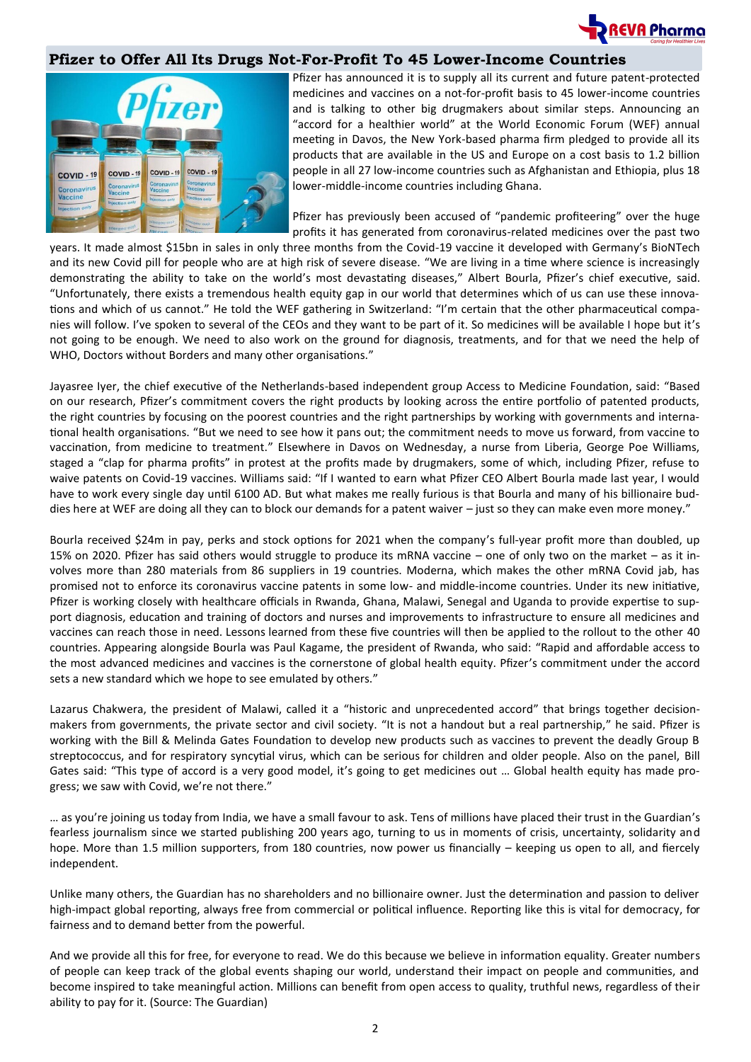

### **Pfizer to Offer All Its Drugs Not-For-Profit To 45 Lower-Income Countries**



Pfizer has announced it is to supply all its current and future patent-protected medicines and vaccines on a not-for-profit basis to 45 lower-income countries and is talking to other big drugmakers about similar steps. Announcing an "accord for a healthier world" at the World Economic Forum (WEF) annual meeting in Davos, the New York-based pharma firm pledged to provide all its products that are available in the US and [Europe](https://www.theguardian.com/world/europe-news) on a cost basis to 1.2 billion people in all 27 low-income countries such as Afghanistan and Ethiopia, plus 18 lower-middle-income countries including Ghana.

Pfizer has previously been accused of "pandemic profiteering" over the huge profits it has generated from coronavirus-related medicines over the past two

years. It [made almost \\$15bn in sales in only three months](https://www.theguardian.com/business/2022/may/03/pfizer-covid-sales-pricing-vaccine-paxlovid-pill) from the Covid-19 vaccine it developed with Germany's BioNTech and its new Covid pill for people who are at high risk of severe disease. "We are living in a time where science is increasingly demonstrating the ability to take on the world's most devastating diseases," Albert Bourla, Pfizer's chief executive, said. "Unfortunately, there exists a tremendous health equity gap in our world that determines which of us can use these innovations and which of us cannot." He told the WEF gathering in Switzerland: "I'm certain that the other pharmaceutical companies will follow. I've spoken to several of the CEOs and they want to be part of it. So medicines will be available I hope but it's not going to be enough. We need to also work on the ground for diagnosis, treatments, and for that we need the help of WHO, Doctors without Borders and many other organisations."

Jayasree Iyer, the chief executive of the Netherlands-based independent group Access to Medicine Foundation, said: "Based on [our research,](https://accesstomedicinefoundation.org/access-to-medicine-index/results/less-than-half-of-key-products-are-covered-by-pharma-companies-access-strategies-in-poorer-countries) Pfizer's commitment covers the right products by looking across the entire portfolio of patented products, the right countries by focusing on the poorest countries and the right partnerships by working with governments and international health organisations. "But we need to see how it pans out; the commitment needs to move us forward, from vaccine to vaccination, from medicine to treatment." Elsewhere in [Davos](https://www.theguardian.com/business/davos) on Wednesday, a nurse from Liberia, George Poe Williams, staged a "clap for pharma profits" in protest at the profits made by drugmakers, some of which, including Pfizer, refuse to waive patents on Covid-19 vaccines. Williams said: "If I wanted to earn what Pfizer CEO Albert Bourla made last year, I would have to work every single day until 6100 AD. But what makes me really furious is that Bourla and many of his billionaire buddies here at WEF are doing all they can to block our demands for a patent waiver – just so they can make even more money."

Bourla received \$24m in pay, perks and stock options for 2021 when the company's full-year profit more than doubled, up 15% on 2020. Pfizer has said others would struggle to produce its mRNA vaccine – one of only two on the market – as it involves more than 280 materials from 86 suppliers in 19 countries. Moderna, which makes the other mRNA Covid jab, has promised not to enforce its coronavirus vaccine patents in some low- and middle-income countries. Under its new initiative, Pfizer is working closely with healthcare officials in Rwanda, Ghana, Malawi, Senegal and Uganda to provide expertise to support diagnosis, education and training of doctors and nurses and improvements to infrastructure to ensure all medicines and vaccines can reach those in need. Lessons learned from these five countries will then be applied to the rollout to the other 40 countries. Appearing alongside Bourla was Paul Kagame, the president of Rwanda, who said: "Rapid and affordable access to the most advanced medicines and vaccines is the cornerstone of global health equity. Pfizer's commitment under the accord sets a new standard which we hope to see emulated by others."

Lazarus Chakwera, the president of Malawi, called it a "historic and unprecedented accord" that brings together decisionmakers from governments, the private sector and civil society. "It is not a handout but a real partnership," he said. Pfizer is working with the Bill & Melinda Gates Foundation to develop new products such as vaccines to prevent the deadly Group B streptococcus, and for respiratory syncytial virus, which can be serious for children and older people. Also on the panel, [Bill](https://www.theguardian.com/us-news/bill-gates)  [Gates](https://www.theguardian.com/us-news/bill-gates) said: "This type of accord is a very good model, it's going to get medicines out … Global health equity has made progress; we saw with Covid, we're not there."

… as you're joining us today from India, we have a small favour to ask. Tens of millions have placed their trust in the Guardian's fearless journalism since we started publishing 200 years ago, turning to us in moments of crisis, uncertainty, solidarity and hope. More than 1.5 million supporters, from 180 countries, now power us financially – keeping us open to all, and fiercely independent.

Unlike many others, the Guardian has no shareholders and no billionaire owner. Just the determination and passion to deliver high-impact global reporting, always free from commercial or political influence. Reporting like this is vital for democracy, for fairness and to demand better from the powerful.

And we provide all this for free, for everyone to read. We do this because we believe in information equality. Greater numbers of people can keep track of the global events shaping our world, understand their impact on people and communities, and become inspired to take meaningful action. Millions can benefit from open access to quality, truthful news, regardless of their ability to pay for it. (Source: The Guardian)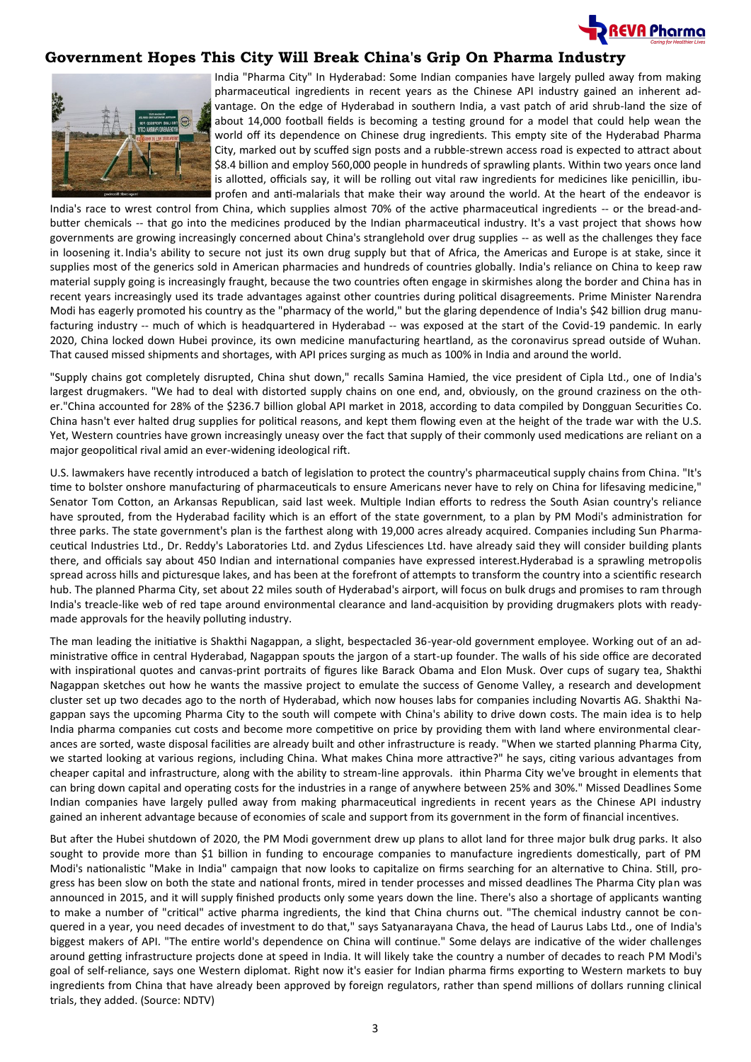

### **Government Hopes This City Will Break China's Grip On Pharma Industry**



India "Pharma City" In Hyderabad: Some Indian companies have largely pulled away from making pharmaceutical ingredients in recent years as the Chinese API industry gained an inherent advantage. On the edge of Hyderabad in southern India, a vast patch of arid shrub-land the size of about 14,000 football fields is becoming a testing ground for a model that could help wean the world off its dependence on Chinese drug ingredients. This empty site of the Hyderabad Pharma City, marked out by scuffed sign posts and a rubble-strewn access road is expected to attract about \$8.4 billion and employ 560,000 people in hundreds of sprawling plants. Within two years once land is allotted, officials say, it will be rolling out vital raw ingredients for medicines like penicillin, ibuprofen and anti-malarials that make their way around the world. At the heart of the endeavor is

India's race to wrest control from China, which supplies almost 70% of the active pharmaceutical ingredients -- or the bread-andbutter chemicals -- that go into the medicines produced by the Indian pharmaceutical industry. It's a vast project that shows how governments are growing increasingly concerned about China's stranglehold over drug supplies -- as well as the challenges they face in loosening it. India's ability to secure not just its own drug supply but that of Africa, the Americas and Europe is at stake, since it supplies most of the generics sold in American pharmacies and hundreds of countries globally. India's reliance on China to keep raw material supply going is increasingly fraught, because the two countries often engage in skirmishes along the border and China has in recent years increasingly used its trade advantages against other countries during political disagreements. Prime Minister Narendra Modi has eagerly promoted his country as the "pharmacy of the world," but the glaring dependence of India's \$42 billion drug manufacturing industry -- much of which is headquartered in Hyderabad -- was exposed at the start of the Covid-19 pandemic. In early 2020, China locked down Hubei province, its own medicine manufacturing heartland, as the coronavirus spread outside of Wuhan. That caused missed shipments and shortages, with API prices surging as much as 100% in India and around the world.

"Supply chains got completely disrupted, China shut down," recalls Samina Hamied, the vice president of Cipla Ltd., one of India's largest drugmakers. "We had to deal with distorted supply chains on one end, and, obviously, on the ground craziness on the other."China accounted for 28% of the \$236.7 billion global API market in 2018, according to data compiled by Dongguan Securities Co. China hasn't ever halted drug supplies for political reasons, and kept them flowing even at the height of the trade war with the U.S. Yet, Western countries have grown increasingly uneasy over the fact that supply of their commonly used medications are reliant on a major geopolitical rival amid an ever-widening ideological rift.

U.S. lawmakers have recently introduced a batch of legislation to protect the country's pharmaceutical supply chains from China. "It's time to bolster onshore manufacturing of pharmaceuticals to ensure Americans never have to rely on China for lifesaving medicine," Senator Tom Cotton, an Arkansas Republican, said last week. Multiple Indian efforts to redress the South Asian country's reliance have sprouted, from the Hyderabad facility which is an effort of the state government, to a plan by PM Modi's administration for three parks. The state government's plan is the farthest along with 19,000 acres already acquired. Companies including Sun Pharmaceutical Industries Ltd., Dr. Reddy's Laboratories Ltd. and Zydus Lifesciences Ltd. have already said they will consider building plants there, and officials say about 450 Indian and international companies have expressed interest.Hyderabad is a sprawling metropolis spread across hills and picturesque lakes, and has been at the forefront of attempts to transform the country into a scientific research hub. The planned Pharma City, set about 22 miles south of Hyderabad's airport, will focus on bulk drugs and promises to ram through India's treacle-like web of red tape around environmental clearance and land-acquisition by providing drugmakers plots with readymade approvals for the heavily polluting industry.

The man leading the initiative is Shakthi Nagappan, a slight, bespectacled 36-year-old government employee. Working out of an administrative office in central Hyderabad, Nagappan spouts the jargon of a start-up founder. The walls of his side office are decorated with inspirational quotes and canvas-print portraits of figures like Barack Obama and Elon Musk. Over cups of sugary tea, Shakthi Nagappan sketches out how he wants the massive project to emulate the success of Genome Valley, a research and development cluster set up two decades ago to the north of Hyderabad, which now houses labs for companies including Novartis AG. Shakthi Nagappan says the upcoming Pharma City to the south will compete with China's ability to drive down costs. The main idea is to help India pharma companies cut costs and become more competitive on price by providing them with land where environmental clearances are sorted, waste disposal facilities are already built and other infrastructure is ready. "When we started planning Pharma City, we started looking at various regions, including China. What makes China more attractive?" he says, citing various advantages from cheaper capital and infrastructure, along with the ability to stream-line approvals. ithin Pharma City we've brought in elements that can bring down capital and operating costs for the industries in a range of anywhere between 25% and 30%." Missed Deadlines Some Indian companies have largely pulled away from making pharmaceutical ingredients in recent years as the Chinese API industry gained an inherent advantage because of economies of scale and support from its government in the form of financial incentives.

But after the Hubei shutdown of 2020, the PM Modi government drew up plans to allot land for three major bulk drug parks. It also sought to provide more than \$1 billion in funding to encourage companies to manufacture ingredients domestically, part of PM Modi's nationalistic "Make in India" campaign that now looks to capitalize on firms searching for an alternative to China. Still, progress has been slow on both the state and national fronts, mired in tender processes and missed deadlines The Pharma City plan was announced in 2015, and it will supply finished products only some years down the line. There's also a shortage of applicants wanting to make a number of "critical" active pharma ingredients, the kind that China churns out. "The chemical industry cannot be conquered in a year, you need decades of investment to do that," says Satyanarayana Chava, the head of Laurus Labs Ltd., one of India's biggest makers of API. "The entire world's dependence on China will continue." Some delays are indicative of the wider challenges around getting infrastructure projects done at speed in India. It will likely take the country a number of decades to reach PM Modi's goal of self-reliance, says one Western diplomat. Right now it's easier for Indian pharma firms exporting to Western markets to buy ingredients from China that have already been approved by foreign regulators, rather than spend millions of dollars running clinical trials, they added. (Source: NDTV)